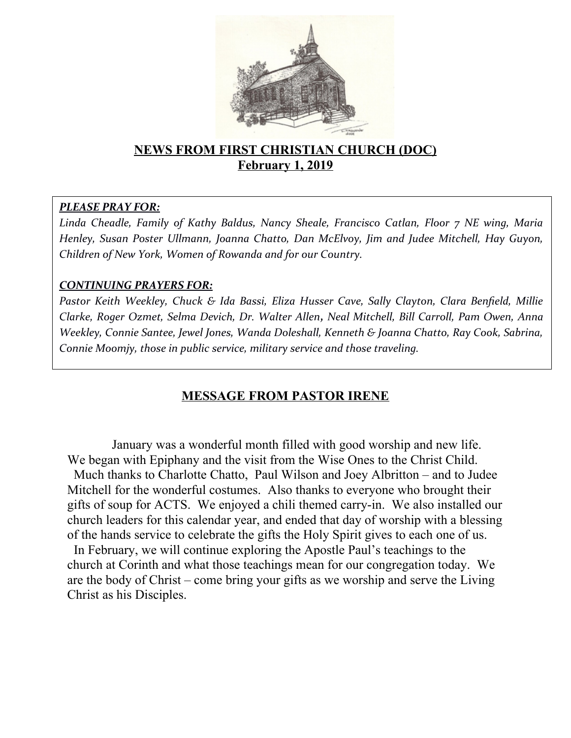

## **NEWS FROM FIRST CHRISTIAN CHURCH (DOC) February 1, 2019**

### *PLEASE PRAY FOR:*

*Linda Cheadle, Family of Kathy Baldus, Nancy Sheale, Francisco Catlan, Floor 7 NE wing, Maria Henley, Susan Poster Ullmann, Joanna Chatto, Dan McElvoy, Jim and Judee Mitchell, Hay Guyon, Children of New York, Women of Rowanda and for our Country.*

### *CONTINUING PRAYERS FOR:*

*Pastor Keith Weekley, Chuck & Ida Bassi, Eliza Husser Cave, Sally Clayton, Clara Benfeld, Millie Clarke, Roger Ozmet, Selma Devich, Dr. Walter Allen, Neal Mitchell, Bill Carroll, Pam Owen, Anna Weekley, Connie Santee, Jewel Jones, Wanda Doleshall, Kenneth & Joanna Chatto, Ray Cook, Sabrina, Connie Moomjy, those in public service, military service and those traveling.*

# **MESSAGE FROM PASTOR IRENE**

January was a wonderful month filled with good worship and new life. We began with Epiphany and the visit from the Wise Ones to the Christ Child. Much thanks to Charlotte Chatto, Paul Wilson and Joey Albritton – and to Judee Mitchell for the wonderful costumes. Also thanks to everyone who brought their gifts of soup for ACTS. We enjoyed a chili themed carry-in. We also installed our church leaders for this calendar year, and ended that day of worship with a blessing of the hands service to celebrate the gifts the Holy Spirit gives to each one of us.

In February, we will continue exploring the Apostle Paul's teachings to the church at Corinth and what those teachings mean for our congregation today. We are the body of Christ – come bring your gifts as we worship and serve the Living Christ as his Disciples.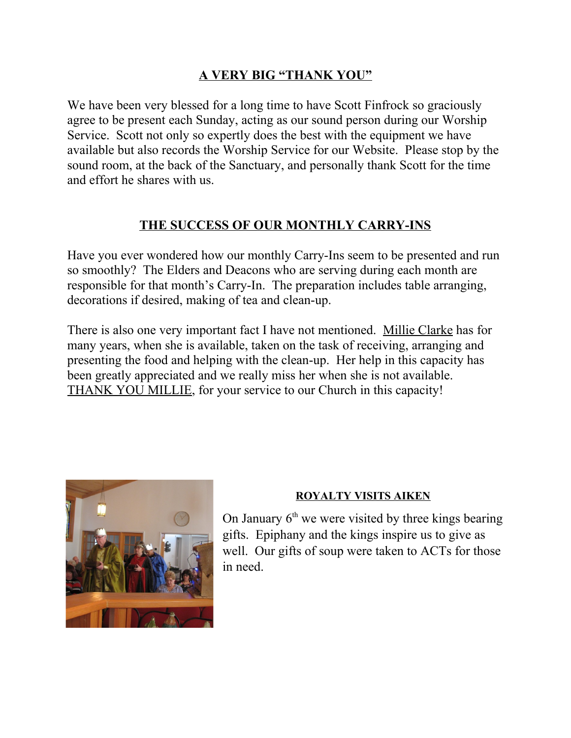## **A VERY BIG "THANK YOU"**

We have been very blessed for a long time to have Scott Finfrock so graciously agree to be present each Sunday, acting as our sound person during our Worship Service. Scott not only so expertly does the best with the equipment we have available but also records the Worship Service for our Website. Please stop by the sound room, at the back of the Sanctuary, and personally thank Scott for the time and effort he shares with us.

## **THE SUCCESS OF OUR MONTHLY CARRY-INS**

Have you ever wondered how our monthly Carry-Ins seem to be presented and run so smoothly? The Elders and Deacons who are serving during each month are responsible for that month's Carry-In. The preparation includes table arranging, decorations if desired, making of tea and clean-up.

There is also one very important fact I have not mentioned. Millie Clarke has for many years, when she is available, taken on the task of receiving, arranging and presenting the food and helping with the clean-up. Her help in this capacity has been greatly appreciated and we really miss her when she is not available. THANK YOU MILLIE, for your service to our Church in this capacity!



### **ROYALTY VISITS AIKEN**

On January  $6<sup>th</sup>$  we were visited by three kings bearing gifts. Epiphany and the kings inspire us to give as well. Our gifts of soup were taken to ACTs for those in need.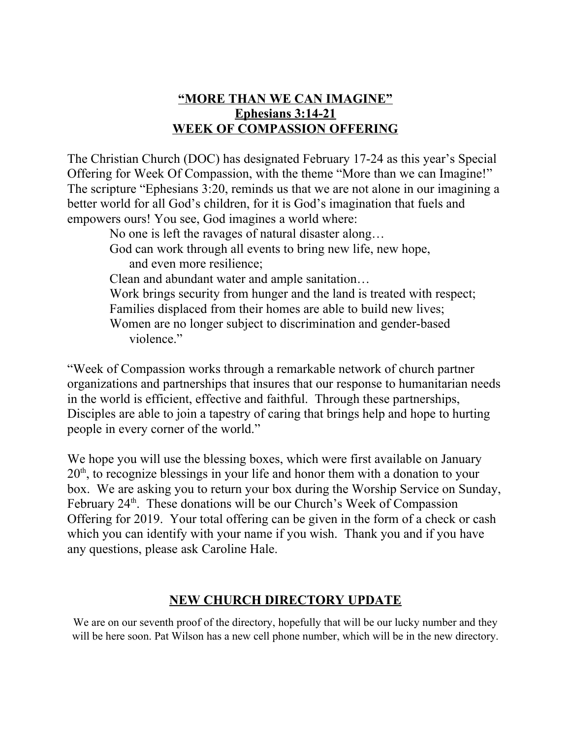## **"MORE THAN WE CAN IMAGINE" Ephesians 3:14-21 WEEK OF COMPASSION OFFERING**

The Christian Church (DOC) has designated February 17-24 as this year's Special Offering for Week Of Compassion, with the theme "More than we can Imagine!" The scripture "Ephesians 3:20, reminds us that we are not alone in our imagining a better world for all God's children, for it is God's imagination that fuels and empowers ours! You see, God imagines a world where:

 No one is left the ravages of natural disaster along… God can work through all events to bring new life, new hope, and even more resilience; Clean and abundant water and ample sanitation… Work brings security from hunger and the land is treated with respect; Families displaced from their homes are able to build new lives; Women are no longer subject to discrimination and gender-based violence."

"Week of Compassion works through a remarkable network of church partner organizations and partnerships that insures that our response to humanitarian needs in the world is efficient, effective and faithful. Through these partnerships, Disciples are able to join a tapestry of caring that brings help and hope to hurting people in every corner of the world."

We hope you will use the blessing boxes, which were first available on January 20<sup>th</sup>, to recognize blessings in your life and honor them with a donation to your box. We are asking you to return your box during the Worship Service on Sunday, February 24<sup>th</sup>. These donations will be our Church's Week of Compassion Offering for 2019. Your total offering can be given in the form of a check or cash which you can identify with your name if you wish. Thank you and if you have any questions, please ask Caroline Hale.

### **NEW CHURCH DIRECTORY UPDATE**

We are on our seventh proof of the directory, hopefully that will be our lucky number and they will be here soon. Pat Wilson has a new cell phone number, which will be in the new directory.